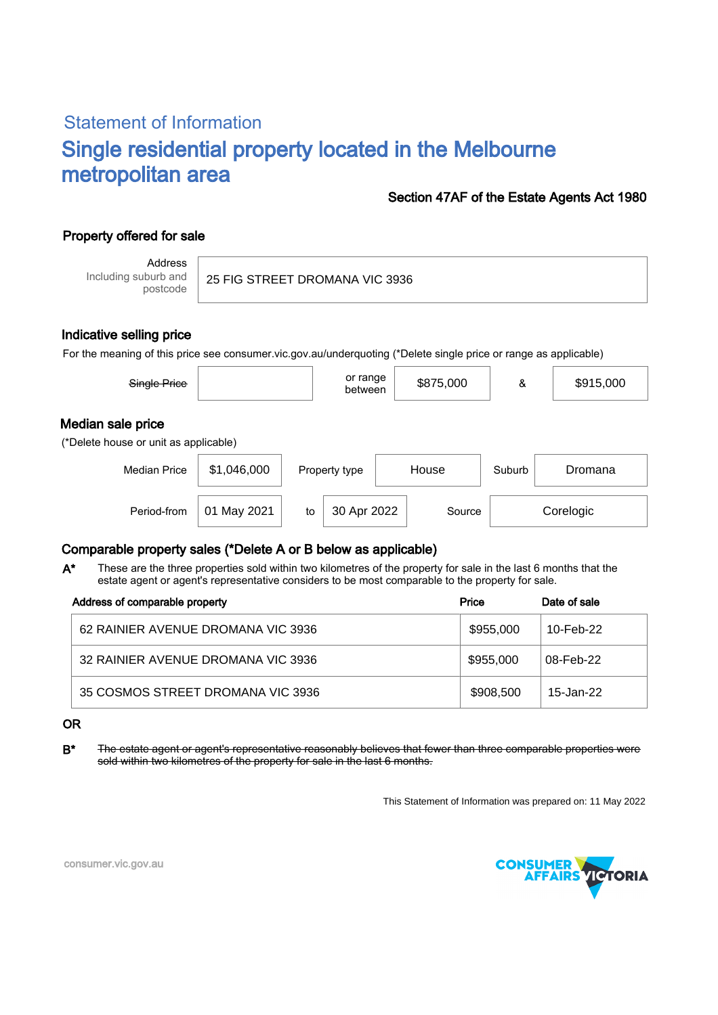# Statement of Information Single residential property located in the Melbourne metropolitan area

## Section 47AF of the Estate Agents Act 1980

# Property offered for sale

Address Including suburb and postcode

25 FIG STREET DROMANA VIC 3936

#### Indicative selling price

For the meaning of this price see consumer.vic.gov.au/underquoting (\*Delete single price or range as applicable)

| Single Price                                               |             |    | or range<br>between | \$875,000 | &      | \$915,000 |
|------------------------------------------------------------|-------------|----|---------------------|-----------|--------|-----------|
| Median sale price<br>(*Delete house or unit as applicable) |             |    |                     |           |        |           |
| <b>Median Price</b>                                        | \$1,046,000 |    | Property type       | House     | Suburb | Dromana   |
| Period-from                                                | 01 May 2021 | to | 30 Apr 2022         | Source    |        | Corelogic |

## Comparable property sales (\*Delete A or B below as applicable)

These are the three properties sold within two kilometres of the property for sale in the last 6 months that the estate agent or agent's representative considers to be most comparable to the property for sale. A\*

| Address of comparable property     | Price     | Date of sale |
|------------------------------------|-----------|--------------|
| 62 RAINIER AVENUE DROMANA VIC 3936 | \$955,000 | 10-Feb-22    |
| 32 RAINIER AVENUE DROMANA VIC 3936 | \$955,000 | 08-Feb-22    |
| 35 COSMOS STREET DROMANA VIC 3936  | \$908,500 | 15-Jan-22    |

OR

B\* The estate agent or agent's representative reasonably believes that fewer than three comparable properties were sold within two kilometres of the property for sale in the last 6 months.

This Statement of Information was prepared on: 11 May 2022



consumer.vic.gov.au